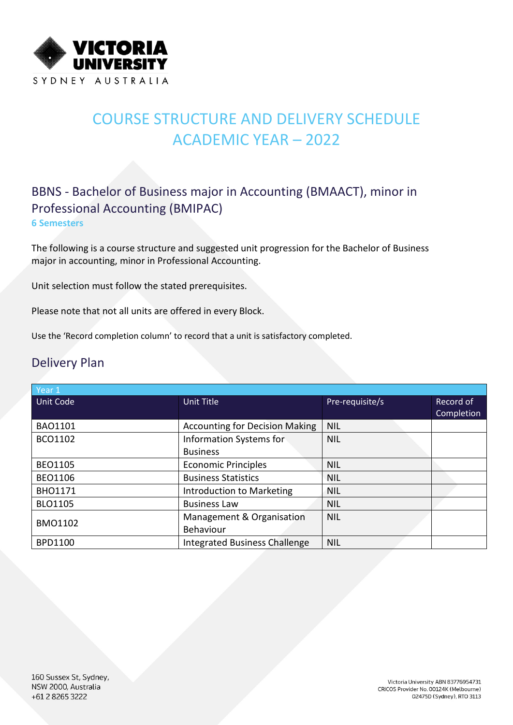

# COURSE STRUCTURE AND DELIVERY SCHEDULE ACADEMIC YEAR – 2022

### BBNS - Bachelor of Business major in Accounting (BMAACT), minor in Professional Accounting (BMIPAC) **6 Semesters**

The following is a course structure and suggested unit progression for the Bachelor of Business major in accounting, minor in Professional Accounting.

Unit selection must follow the stated prerequisites.

Please note that not all units are offered in every Block.

Use the 'Record completion column' to record that a unit is satisfactory completed.

### Delivery Plan

| Year 1           |                                       |                 |            |
|------------------|---------------------------------------|-----------------|------------|
| <b>Unit Code</b> | Unit Title                            | Pre-requisite/s | Record of  |
|                  |                                       |                 | Completion |
| <b>BAO1101</b>   | <b>Accounting for Decision Making</b> | <b>NIL</b>      |            |
| BCO1102          | Information Systems for               | <b>NIL</b>      |            |
|                  | <b>Business</b>                       |                 |            |
| <b>BEO1105</b>   | <b>Economic Principles</b>            | <b>NIL</b>      |            |
| <b>BEO1106</b>   | <b>Business Statistics</b>            | <b>NIL</b>      |            |
| <b>BHO1171</b>   | Introduction to Marketing             | <b>NIL</b>      |            |
| <b>BLO1105</b>   | <b>Business Law</b>                   | <b>NIL</b>      |            |
| <b>BMO1102</b>   | Management & Organisation             | <b>NIL</b>      |            |
|                  | Behaviour                             |                 |            |
| <b>BPD1100</b>   | <b>Integrated Business Challenge</b>  | <b>NIL</b>      |            |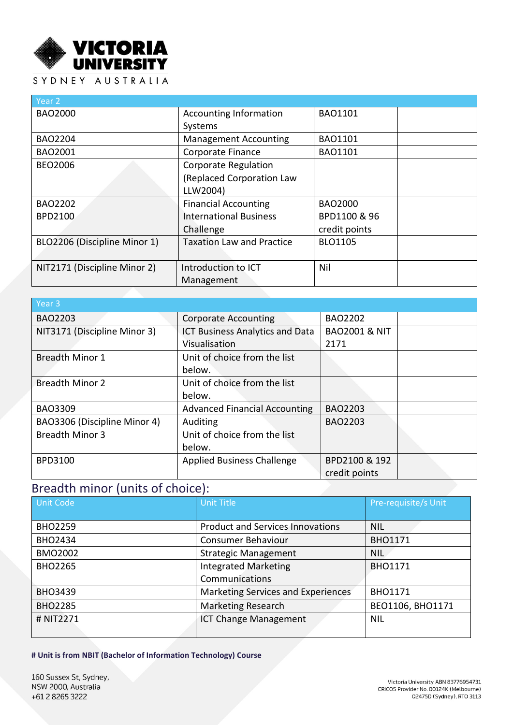

#### SYDNEY AUSTRALIA

| Year 2                       |                                  |                |
|------------------------------|----------------------------------|----------------|
| <b>BAO2000</b>               | <b>Accounting Information</b>    | <b>BAO1101</b> |
|                              | Systems                          |                |
| <b>BAO2204</b>               | <b>Management Accounting</b>     | <b>BAO1101</b> |
| BAO2001                      | Corporate Finance                | <b>BAO1101</b> |
| <b>BEO2006</b>               | <b>Corporate Regulation</b>      |                |
|                              | (Replaced Corporation Law        |                |
|                              | LLW2004)                         |                |
| <b>BAO2202</b>               | <b>Financial Accounting</b>      | <b>BAO2000</b> |
| <b>BPD2100</b>               | <b>International Business</b>    | BPD1100 & 96   |
|                              | Challenge                        | credit points  |
| BLO2206 (Discipline Minor 1) | <b>Taxation Law and Practice</b> | <b>BLO1105</b> |
|                              |                                  |                |
| NIT2171 (Discipline Minor 2) | Introduction to ICT              | Nil            |
|                              | Management                       |                |

| Year <sub>3</sub>            |                                        |                          |  |
|------------------------------|----------------------------------------|--------------------------|--|
| <b>BAO2203</b>               | <b>Corporate Accounting</b>            | <b>BAO2202</b>           |  |
| NIT3171 (Discipline Minor 3) | <b>ICT Business Analytics and Data</b> | <b>BAO2001 &amp; NIT</b> |  |
|                              | Visualisation                          | 2171                     |  |
| <b>Breadth Minor 1</b>       | Unit of choice from the list           |                          |  |
|                              | below.                                 |                          |  |
| <b>Breadth Minor 2</b>       | Unit of choice from the list           |                          |  |
|                              | below.                                 |                          |  |
| <b>BAO3309</b>               | <b>Advanced Financial Accounting</b>   | <b>BAO2203</b>           |  |
| BAO3306 (Discipline Minor 4) | Auditing                               | <b>BAO2203</b>           |  |
| <b>Breadth Minor 3</b>       | Unit of choice from the list           |                          |  |
|                              | below.                                 |                          |  |
| BPD3100                      | <b>Applied Business Challenge</b>      | BPD2100 & 192            |  |
|                              |                                        | credit points            |  |

## Breadth minor (units of choice):

| <b>Unit Code</b> | <b>Unit Title</b>                       | Pre-requisite/s Unit |
|------------------|-----------------------------------------|----------------------|
|                  |                                         |                      |
| <b>BHO2259</b>   | <b>Product and Services Innovations</b> | <b>NIL</b>           |
| <b>BHO2434</b>   | <b>Consumer Behaviour</b>               | <b>BHO1171</b>       |
| <b>BMO2002</b>   | <b>Strategic Management</b>             | <b>NIL</b>           |
| <b>BHO2265</b>   | <b>Integrated Marketing</b>             | <b>BHO1171</b>       |
|                  | Communications                          |                      |
| <b>BHO3439</b>   | Marketing Services and Experiences      | <b>BHO1171</b>       |
| <b>BHO2285</b>   | <b>Marketing Research</b>               | BEO1106, BHO1171     |
| # NIT2271        | <b>ICT Change Management</b>            | <b>NIL</b>           |
|                  |                                         |                      |

**# Unit is from NBIT (Bachelor of Information Technology) Course**

160 Sussex St, Sydney, NSW 2000, Australia +61 2 8265 3222